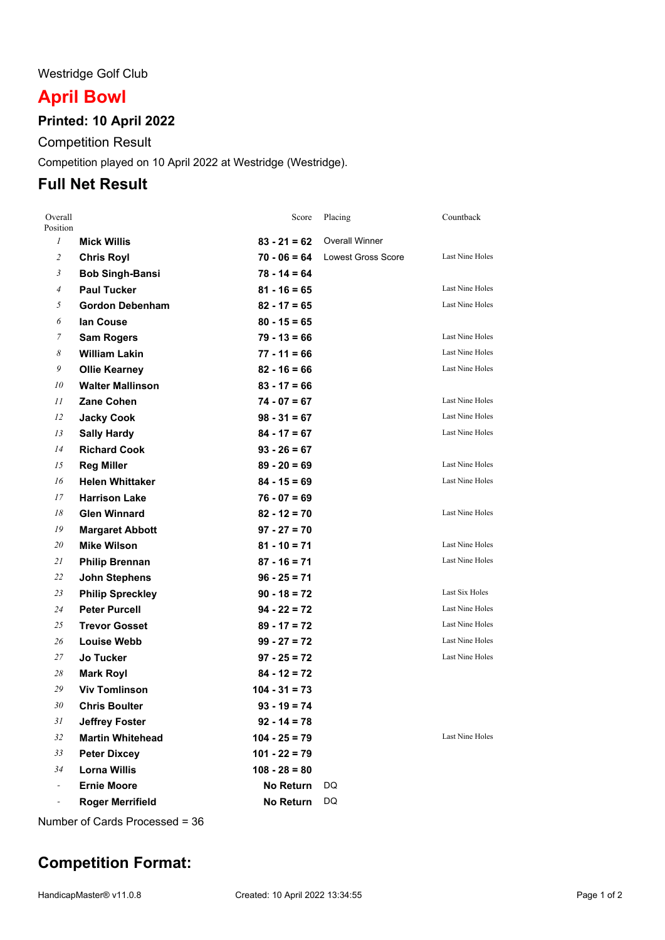#### Westridge Golf Club

# **April Bowl**

### **Printed: 10 April 2022**

Competition Result

Competition played on 10 April 2022 at Westridge (Westridge).

## **Full Net Result**

| Overall<br>Position |                         | Score            | Placing                   | Countback              |
|---------------------|-------------------------|------------------|---------------------------|------------------------|
| $\mathcal{I}$       | <b>Mick Willis</b>      | $83 - 21 = 62$   | <b>Overall Winner</b>     |                        |
| $\overline{a}$      | <b>Chris Royl</b>       | $70 - 06 = 64$   | <b>Lowest Gross Score</b> | Last Nine Holes        |
| 3                   | <b>Bob Singh-Bansi</b>  | $78 - 14 = 64$   |                           |                        |
| 4                   | <b>Paul Tucker</b>      | $81 - 16 = 65$   |                           | Last Nine Holes        |
| 5                   | <b>Gordon Debenham</b>  | $82 - 17 = 65$   |                           | Last Nine Holes        |
| 6                   | lan Couse               | $80 - 15 = 65$   |                           |                        |
| 7                   | <b>Sam Rogers</b>       | $79 - 13 = 66$   |                           | Last Nine Holes        |
| 8                   | <b>William Lakin</b>    | $77 - 11 = 66$   |                           | Last Nine Holes        |
| 9                   | <b>Ollie Kearney</b>    | $82 - 16 = 66$   |                           | Last Nine Holes        |
| 10                  | <b>Walter Mallinson</b> | $83 - 17 = 66$   |                           |                        |
| 11                  | <b>Zane Cohen</b>       | $74 - 07 = 67$   |                           | Last Nine Holes        |
| 12                  | <b>Jacky Cook</b>       | $98 - 31 = 67$   |                           | Last Nine Holes        |
| 13                  | <b>Sally Hardy</b>      | $84 - 17 = 67$   |                           | Last Nine Holes        |
| 14                  | <b>Richard Cook</b>     | $93 - 26 = 67$   |                           |                        |
| 15                  | <b>Reg Miller</b>       | $89 - 20 = 69$   |                           | Last Nine Holes        |
| 16                  | <b>Helen Whittaker</b>  | $84 - 15 = 69$   |                           | Last Nine Holes        |
| 17                  | <b>Harrison Lake</b>    | $76 - 07 = 69$   |                           |                        |
| 18                  | <b>Glen Winnard</b>     | $82 - 12 = 70$   |                           | Last Nine Holes        |
| 19                  | <b>Margaret Abbott</b>  | $97 - 27 = 70$   |                           |                        |
| 20                  | <b>Mike Wilson</b>      | $81 - 10 = 71$   |                           | Last Nine Holes        |
| 21                  | <b>Philip Brennan</b>   | $87 - 16 = 71$   |                           | Last Nine Holes        |
| 22                  | <b>John Stephens</b>    | $96 - 25 = 71$   |                           |                        |
| 23                  | <b>Philip Spreckley</b> | $90 - 18 = 72$   |                           | Last Six Holes         |
| 24                  | <b>Peter Purcell</b>    | $94 - 22 = 72$   |                           | Last Nine Holes        |
| 25                  | <b>Trevor Gosset</b>    | $89 - 17 = 72$   |                           | Last Nine Holes        |
| 26                  | <b>Louise Webb</b>      | $99 - 27 = 72$   |                           | Last Nine Holes        |
| 27                  | Jo Tucker               | $97 - 25 = 72$   |                           | Last Nine Holes        |
| 28                  | <b>Mark Royl</b>        | $84 - 12 = 72$   |                           |                        |
| 29                  | <b>Viv Tomlinson</b>    | $104 - 31 = 73$  |                           |                        |
| 30                  | <b>Chris Boulter</b>    | $93 - 19 = 74$   |                           |                        |
| 31                  | <b>Jeffrey Foster</b>   | $92 - 14 = 78$   |                           |                        |
| 32                  | <b>Martin Whitehead</b> | $104 - 25 = 79$  |                           | <b>Last Nine Holes</b> |
| 33                  | <b>Peter Dixcey</b>     | $101 - 22 = 79$  |                           |                        |
| 34                  | <b>Lorna Willis</b>     | $108 - 28 = 80$  |                           |                        |
|                     | <b>Ernie Moore</b>      | <b>No Return</b> | DQ                        |                        |
|                     | <b>Roger Merrifield</b> | <b>No Return</b> | DQ                        |                        |

Number of Cards Processed = 36

## **Competition Format:**